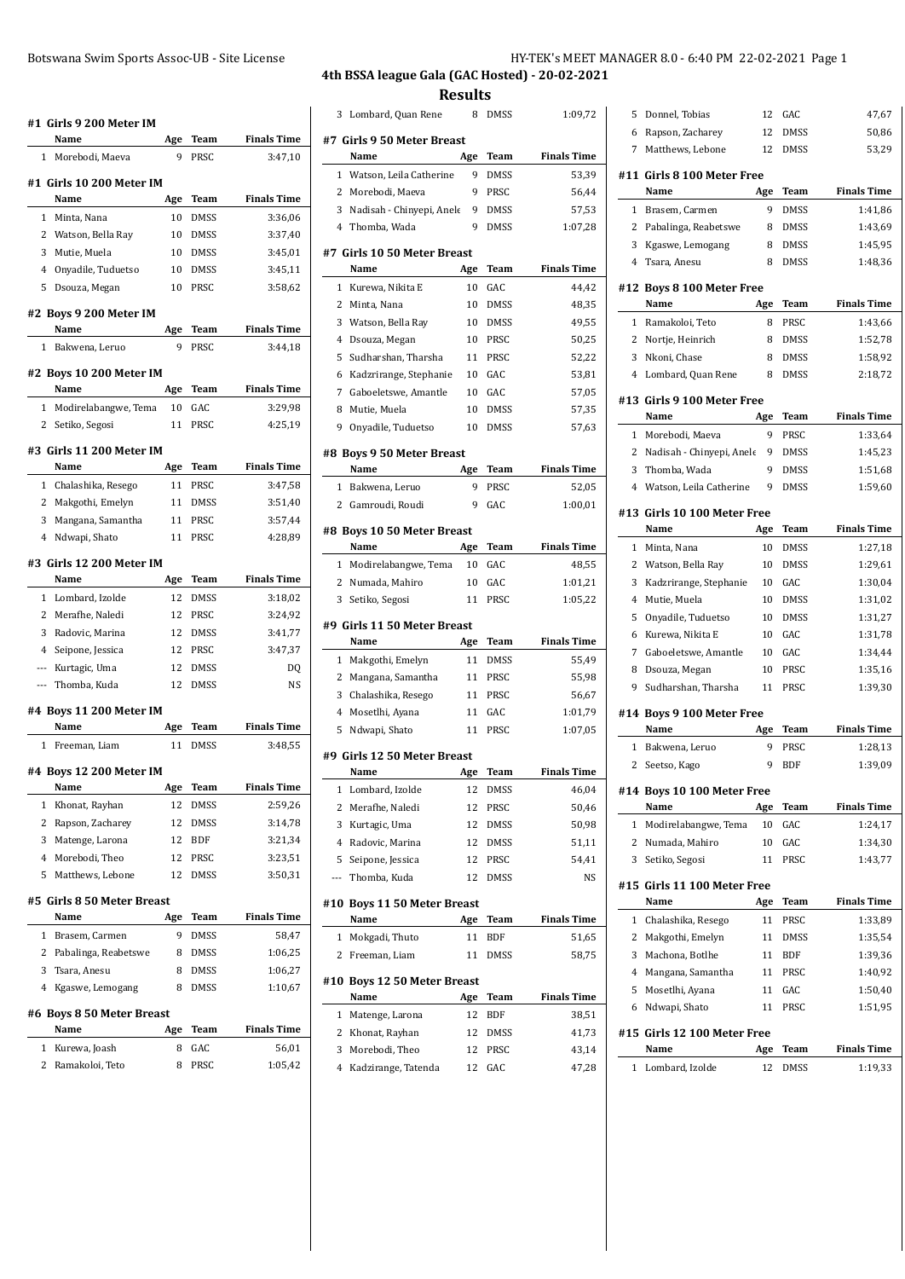| #1 Girls 9 200 Meter IM            |     |             |                    |  |  |  |
|------------------------------------|-----|-------------|--------------------|--|--|--|
| Name                               | Age | Team        | <b>Finals Time</b> |  |  |  |
| $\mathbf{1}$<br>Morebodi, Maeva    | 9   | PRSC        | 3:47,10            |  |  |  |
| #1 Girls 10 200 Meter IM           |     |             |                    |  |  |  |
| Name                               | Age | <b>Team</b> | <b>Finals Time</b> |  |  |  |
| Minta, Nana<br>1                   | 10  | <b>DMSS</b> | 3:36,06            |  |  |  |
| 2<br>Watson, Bella Ray             | 10  | <b>DMSS</b> | 3:37,40            |  |  |  |
| 3<br>Mutie, Muela                  | 10  | <b>DMSS</b> | 3:45,01            |  |  |  |
| Onyadile, Tuduetso<br>4            | 10  | <b>DMSS</b> | 3:45,11            |  |  |  |
| 5<br>Dsouza, Megan                 | 10  | PRSC        | 3:58,62            |  |  |  |
| #2 Boys 9 200 Meter IM             |     |             |                    |  |  |  |
| Name                               | Age | Team        | <b>Finals Time</b> |  |  |  |
| 1<br>Bakwena, Leruo                | 9   | PRSC        | 3:44,18            |  |  |  |
| #2 Boys 10 200 Meter IM<br>Name    | Age | Team        | <b>Finals Time</b> |  |  |  |
| Modirelabangwe, Tema<br>1          | 10  | GAC         | 3:29,98            |  |  |  |
| 2<br>Setiko, Segosi                | 11  | PRSC        | 4:25.19            |  |  |  |
|                                    |     |             |                    |  |  |  |
| #3 Girls 11 200 Meter IM<br>Name   | Age | Team        | <b>Finals Time</b> |  |  |  |
| Chalashika, Resego<br>1            | 11  | PRSC        | 3:47,58            |  |  |  |
| 2<br>Makgothi, Emelyn              | 11  | <b>DMSS</b> | 3:51.40            |  |  |  |
| 3<br>Mangana, Samantha             | 11  | PRSC        | 3:57,44            |  |  |  |
| Ndwapi, Shato<br>4                 | 11  | PRSC        | 4:28.89            |  |  |  |
|                                    |     |             |                    |  |  |  |
| #3 Girls 12 200 Meter IM<br>Name   | Age | Team        | <b>Finals Time</b> |  |  |  |
| Lombard, Izolde<br>1               | 12  | <b>DMSS</b> | 3:18,02            |  |  |  |
| Merafhe, Naledi<br>2               | 12  | PRSC        | 3:24,92            |  |  |  |
| 3<br>Radovic, Marina               | 12  | <b>DMSS</b> | 3:41,77            |  |  |  |
| Seipone, Jessica<br>4              | 12  | PRSC        | 3:47,37            |  |  |  |
| Kurtagic, Uma<br>---               | 12  | DMSS        | DQ                 |  |  |  |
| Thomba, Kuda<br>---                | 12  | <b>DMSS</b> | NS                 |  |  |  |
| #4 Boys 11 200 Meter IM            |     |             |                    |  |  |  |
| Name                               | Age | Team        | <b>Finals Time</b> |  |  |  |
| 1<br>Freeman, Liam                 | 11  | <b>DMSS</b> | 3:48.55            |  |  |  |
|                                    |     |             |                    |  |  |  |
| #4 Boys 12 200 Meter IM<br>Name    | Age | Team        | <b>Finals Time</b> |  |  |  |
| 1<br>Khonat, Rayhan                | 12  | DMSS        | 2:59,26            |  |  |  |
| Rapson, Zacharey<br>2              | 12  | DMSS        | 3:14,78            |  |  |  |
| Matenge, Larona<br>3               | 12  | BDF         | 3:21,34            |  |  |  |
| Morebodi, Theo<br>4                | 12  | PRSC        | 3:23,51            |  |  |  |
| 5<br>Matthews, Lebone              | 12  | DMSS        | 3:50,31            |  |  |  |
|                                    |     |             |                    |  |  |  |
| #5 Girls 8 50 Meter Breast<br>Name | Age | Team        | <b>Finals Time</b> |  |  |  |
| Brasem, Carmen<br>1                | 9   | <b>DMSS</b> | 58,47              |  |  |  |
| 2<br>Pabalinga, Reabetswe          | 8   | DMSS        | 1:06,25            |  |  |  |
| Tsara, Anesu<br>3                  | 8   | DMSS        | 1:06,27            |  |  |  |
| 4<br>Kgaswe, Lemogang              | 8   | DMSS        | 1:10,67            |  |  |  |
|                                    |     |             |                    |  |  |  |
| #6 Boys 8 50 Meter Breast          |     |             |                    |  |  |  |
| Name                               | Age | Team        | <b>Finals Time</b> |  |  |  |
| 1<br>Kurewa, Joash                 | 8   | GAC         | 56,01              |  |  |  |
| 2<br>Ramakoloi, Teto               | 8   | PRSC        | 1:05,42            |  |  |  |

# **4th BSSA league Gala (GAC Hosted) - 20-02-2021 Results**

| 3            | Lombard, Quan Rene                   | 8   | DMSS        | 1:09,72            |
|--------------|--------------------------------------|-----|-------------|--------------------|
|              | #7 Girls 9 50 Meter Breast           |     |             |                    |
|              | Name                                 | Age | Team        | <b>Finals Time</b> |
| 1            | Watson, Leila Catherine              | 9   | <b>DMSS</b> | 53,39              |
| 2            | Morebodi, Maeva                      | 9   | PRSC        | 56,44              |
| 3            | Nadisah - Chinyepi, Anele            | 9   | <b>DMSS</b> | 57,53              |
| 4            | Thomba, Wada                         | 9   | <b>DMSS</b> | 1:07,28            |
|              |                                      |     |             |                    |
|              | #7  Girls 10 50 Meter Breast<br>Name | Age | Team        | <b>Finals Time</b> |
| 1            | Kurewa, Nikita E                     | 10  | GAC         | 44,42              |
| 2            | Minta, Nana                          | 10  | <b>DMSS</b> | 48,35              |
| 3            | Watson, Bella Ray                    | 10  | DMSS        | 49,55              |
| 4            | Dsouza, Megan                        | 10  | PRSC        | 50,25              |
| 5            | Sudharshan, Tharsha                  | 11  | PRSC        | 52,22              |
| 6            | Kadzrirange, Stephanie               | 10  | GAC         | 53,81              |
| 7            | Gaboeletswe, Amantle                 | 10  | GAC         | 57,05              |
| 8            | Mutie, Muela                         | 10  | DMSS        | 57,35              |
| 9            | Onyadile, Tuduetso                   | 10  | DMSS        | 57,63              |
|              |                                      |     |             |                    |
|              | #8  Boys 9 50 Meter Breast           |     |             |                    |
|              | Name                                 | Age | Team        | <b>Finals Time</b> |
| 1            | Bakwena, Leruo                       | 9   | PRSC        | 52,05              |
| 2            | Gamroudi, Roudi                      | 9   | GAC         | 1:00,01            |
|              | #8  Boys 10 50 Meter Breast          |     |             |                    |
|              | Name                                 | Age | Team        | <b>Finals Time</b> |
| 1            | Modirelabangwe, Tema                 | 10  | GAC         | 48,55              |
| 2            | Numada, Mahiro                       | 10  | GAC         | 1:01,21            |
| 3            | Setiko, Segosi                       | 11  | PRSC        | 1:05,22            |
|              | #9  Girls 11 50 Meter Breast         |     |             |                    |
|              | Name                                 | Age | Team        | <b>Finals Time</b> |
| $\mathbf{1}$ | Makgothi, Emelyn                     | 11  | <b>DMSS</b> | 55,49              |
| 2            | Mangana, Samantha                    | 11  | PRSC        | 55,98              |
| 3            | Chalashika, Resego                   | 11  | PRSC        | 56,67              |
| 4            | Mosetlhi, Ayana                      | 11  | GAC         | 1:01,79            |
| 5            | Ndwapi, Shato                        | 11  | PRSC        | 1:07,05            |
|              |                                      |     |             |                    |
|              | #9  Girls 12 50 Meter Breast         |     |             |                    |
|              | Name                                 | Age | Team        | <b>Finals Time</b> |
|              | 1 Lombard, Izolde                    | 12  | <b>DMSS</b> | 46,04              |
| 2            | Merafhe, Naledi                      | 12  | PRSC        | 50,46              |
| 3            | Kurtagic, Uma                        | 12  | DMSS        | 50,98              |
| 4            | Radovic, Marina                      | 12  | DMSS        | 51,11              |
| 5            | Seipone, Jessica                     | 12  | PRSC        | 54,41              |
| ---          | Thomba, Kuda                         | 12  | DMSS        | NS                 |
|              | #10 Boys 11 50 Meter Breast          |     |             |                    |
|              | Name                                 | Age | Team        | <b>Finals Time</b> |
| 1            | Mokgadi, Thuto                       | 11  | BDF         | 51,65              |
| 2            | Freeman, Liam                        | 11  | DMSS        | 58,75              |
|              | #10 Boys 12 50 Meter Breast          |     |             |                    |
|              | Name                                 | Age | Team        | <b>Finals Time</b> |
| 1            | Matenge, Larona                      | 12  | BDF         | 38,51              |
| 2            | Khonat, Rayhan                       | 12  | DMSS        | 41,73              |
| 3            | Morebodi, Theo                       | 12  | PRSC        | 43,14              |
| 4            | Kadzirange, Tatenda                  | 12  | GAC         | 47,28              |
|              |                                      |     |             |                    |

| 5            | Donnel, Tobias                      | 12       | GAC          | 47,67              |
|--------------|-------------------------------------|----------|--------------|--------------------|
| 6            | Rapson, Zacharey                    | 12       | <b>DMSS</b>  | 50,86              |
| 7            | Matthews, Lebone                    | 12       | DMSS         | 53,29              |
|              |                                     |          |              |                    |
|              | #11 Girls 8 100 Meter Free<br>Name  | Age      | Team         | <b>Finals Time</b> |
| 1            | Brasem, Carmen                      | 9        | <b>DMSS</b>  | 1:41.86            |
| 2            | Pabalinga, Reabetswe                | 8        | DMSS         | 1:43,69            |
| 3            | Kgaswe, Lemogang                    | 8        | DMSS         | 1:45,95            |
| 4            | Tsara, Anesu                        | 8        | <b>DMSS</b>  | 1:48,36            |
|              | #12 Boys 8 100 Meter Free           |          |              |                    |
|              | Name                                | Age      | Team         | <b>Finals Time</b> |
| 1            | Ramakoloi, Teto                     | 8        | PRSC         | 1:43,66            |
| 2            | Nortje, Heinrich                    | 8        | DMSS         | 1:52,78            |
| 3            | Nkoni, Chase                        | 8        | DMSS         | 1:58,92            |
| 4            | Lombard, Quan Rene                  | 8        | DMSS         | 2:18,72            |
|              |                                     |          |              |                    |
|              | #13 Girls 9 100 Meter Free          |          |              |                    |
|              | Name                                | Age      | Team         | <b>Finals Time</b> |
| $\mathbf{1}$ | Morebodi, Maeva                     | 9        | PRSC         | 1:33,64            |
| 2            | Nadisah - Chinyepi, Anele           | 9        | DMSS         | 1:45,23            |
| 3            | Thomba, Wada                        | 9        | <b>DMSS</b>  | 1:51,68            |
| 4            | Watson, Leila Catherine             | 9        | DMSS         | 1:59,60            |
|              | #13 Girls 10 100 Meter Free         |          |              |                    |
|              | Name                                | Age      | <b>Team</b>  | <b>Finals Time</b> |
| 1            | Minta, Nana                         | 10       | DMSS         | 1:27,18            |
| 2            | Watson, Bella Ray                   | 10       | DMSS         | 1:29,61            |
| 3            | Kadzrirange, Stephanie              | 10       | GAC          | 1:30,04            |
| 4            | Mutie, Muela                        | 10       | DMSS         | 1:31,02            |
| 5            | Onyadile, Tuduetso                  | 10       | <b>DMSS</b>  | 1:31,27            |
| 6            | Kurewa, Nikita E                    | 10       | GAC          | 1:31,78            |
| 7            | Gaboeletswe, Amantle                | 10       | GAC          | 1:34,44            |
| 8            | Dsouza, Megan                       | 10       | PRSC         | 1:35,16            |
| 9            | Sudharshan, Tharsha                 | 11       | PRSC         | 1:39,30            |
|              |                                     |          |              |                    |
|              | #14 Boys 9 100 Meter Free<br>Name   |          |              | <b>Finals Time</b> |
| $\mathbf{1}$ |                                     | Age<br>9 | Team<br>PRSC |                    |
| 2            | Bakwena, Leruo                      | 9        | <b>BDF</b>   | 1:28,13            |
|              | Seetso, Kago                        |          |              | 1:39,09            |
|              | #14 Boys 10 100 Meter Free          |          |              |                    |
|              | Name                                | Age      | <b>Team</b>  | <b>Finals Time</b> |
| 1            | Modirelabangwe, Tema                | 10       | GAC          | 1:24,17            |
| 2            | Numada, Mahiro                      | 10       | GAC          | 1:34,30            |
| 3            | Setiko, Segosi                      | 11       | PRSC         | 1:43,77            |
|              | #15 Girls 11 100 Meter Free         |          |              |                    |
|              | Name                                | Age      | Team         | <b>Finals Time</b> |
| 1            | Chalashika, Resego                  | 11       | PRSC         | 1:33,89            |
| 2            | Makgothi, Emelyn                    | 11       | DMSS         | 1:35,54            |
| 3            | Machona, Botlhe                     | 11       | <b>BDF</b>   | 1:39,36            |
| 4            | Mangana, Samantha                   | 11       | PRSC         | 1:40,92            |
| 5            | Mosetlhi, Ayana                     | 11       | GAC          | 1:50,40            |
| 6            | Ndwapi, Shato                       | 11       | PRSC         | 1:51,95            |
|              |                                     |          |              |                    |
|              | #15 Girls 12 100 Meter Free<br>Name |          |              |                    |
| 1            |                                     | Age      | Team         | <b>Finals Time</b> |
|              | Lombard, Izolde                     | 12       | DMSS         | 1:19,33            |
|              |                                     |          |              |                    |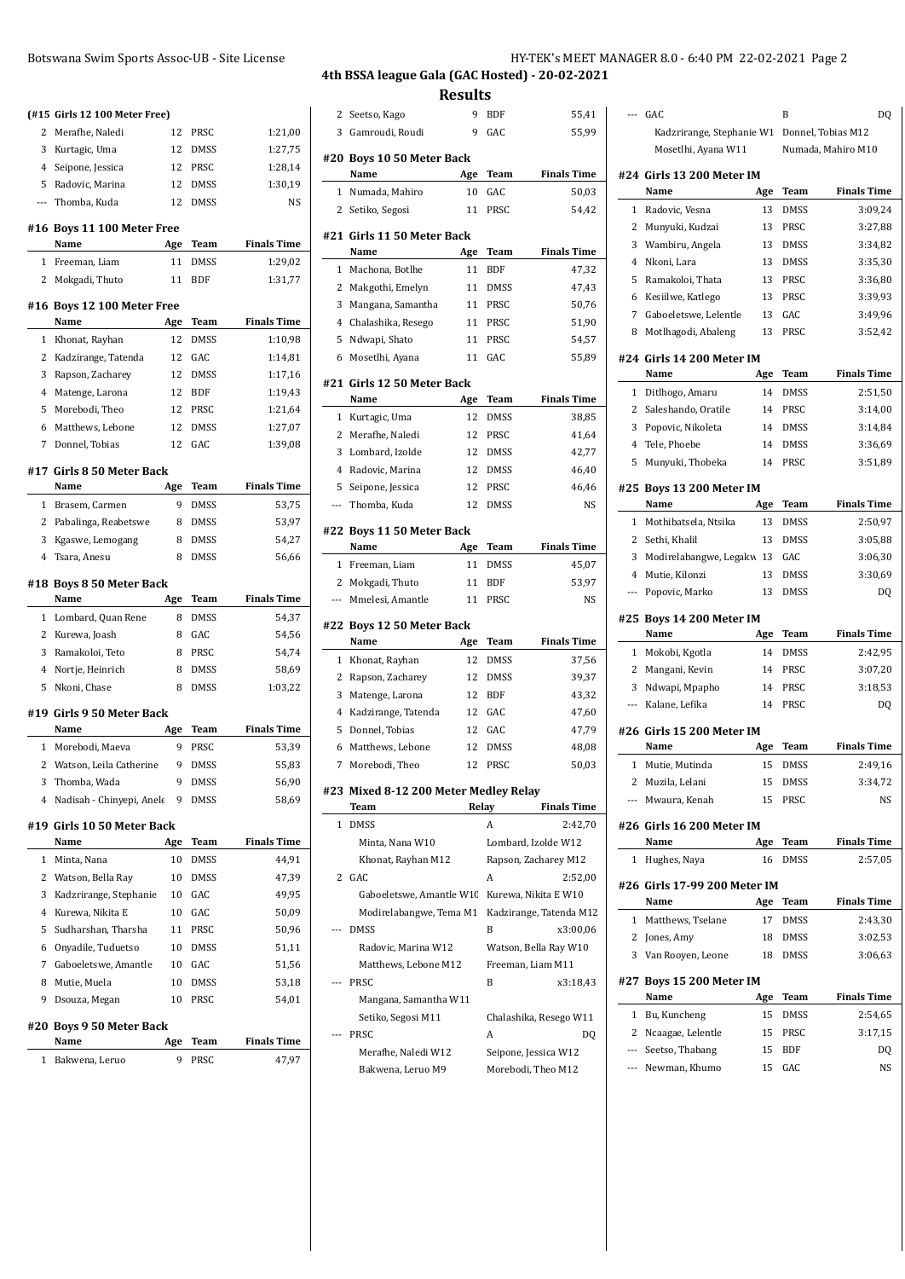|              | (#15 Girls 12 100 Meter Free)       |     |             |                    |
|--------------|-------------------------------------|-----|-------------|--------------------|
| 2            | Merafhe, Naledi                     | 12  | PRSC        | 1:21,00            |
| 3            | Kurtagic, Uma                       | 12  | <b>DMSS</b> | 1:27,75            |
|              | 4 Seipone, Jessica                  | 12  | PRSC        | 1:28,14            |
| 5            | Radovic, Marina                     | 12  | <b>DMSS</b> | 1:30,19            |
|              | --- Thomba, Kuda                    | 12  | <b>DMSS</b> | NS                 |
|              | #16 Boys 11 100 Meter Free          |     |             |                    |
|              | Name                                | Age | Team        | <b>Finals Time</b> |
| 1            | Freeman, Liam                       | 11  | DMSS        | 1:29,02            |
| 2            | Mokgadi, Thuto                      | 11  | <b>BDF</b>  | 1:31,77            |
|              | #16 Boys 12 100 Meter Free          |     |             |                    |
|              | Name                                | Age | Team        | <b>Finals Time</b> |
| $\mathbf{1}$ | Khonat, Rayhan                      | 12  | <b>DMSS</b> | 1:10,98            |
| 2            | Kadzirange, Tatenda                 | 12  | GAC         | 1:14,81            |
| 3            | Rapson, Zacharey                    | 12  | DMSS        | 1:17,16            |
| 4            | Matenge, Larona                     | 12  | <b>BDF</b>  | 1:19,43            |
| 5            | Morebodi, Theo                      | 12  | PRSC        | 1:21,64            |
| 6            | Matthews, Lebone                    | 12  | <b>DMSS</b> | 1:27,07            |
| 7            | Donnel, Tobias                      | 12  | GAC         | 1:39,08            |
|              | #17  Girls 8 50 Meter Back          |     |             |                    |
|              | Name                                | Age | Team        | <b>Finals Time</b> |
|              | 1 Brasem, Carmen                    | 9   | <b>DMSS</b> | 53,75              |
|              | 2 Pabalinga, Reabetswe              | 8   | DMSS        | 53,97              |
| 3            | Kgaswe, Lemogang                    | 8   | <b>DMSS</b> | 54,27              |
| 4            | Tsara, Anesu                        | 8   | DMSS        | 56,66              |
|              |                                     |     |             |                    |
|              | #18 Boys 8 50 Meter Back<br>Name    | Age | Team        | <b>Finals Time</b> |
| 1            | Lombard, Quan Rene                  | 8   | <b>DMSS</b> | 54,37              |
|              | 2 Kurewa, Joash                     | 8   | GAC         | 54,56              |
| 3            | Ramakoloi, Teto                     | 8   | PRSC        | 54,74              |
|              | 4 Nortje, Heinrich                  | 8   | DMSS        | 58,69              |
| 5            | Nkoni, Chase                        | 8   | <b>DMSS</b> | 1:03,22            |
|              | #19 Girls 9 50 Meter Back           |     |             |                    |
|              | Name                                | Age | Team        | <b>Finals Time</b> |
| $\mathbf{1}$ | Morebodi, Maeva                     | 9   | PRSC        | 53,39              |
| 2            | Watson, Leila Catherine             | 9   | DMSS        | 55,83              |
| 3            | Thomba, Wada                        | 9   | DMSS        | 56,90              |
| 4            | Nadisah - Chinyepi, Anele           | 9   | DMSS        | 58,69              |
|              |                                     |     |             |                    |
|              | #19  Girls 10 50 Meter Back<br>Name | Age | Team        | <b>Finals Time</b> |
| 1            | Minta, Nana                         | 10  | <b>DMSS</b> | 44,91              |
| 2            | Watson, Bella Ray                   | 10  | DMSS        | 47,39              |
| 3            | Kadzrirange, Stephanie              | 10  | GAC         | 49,95              |
| 4            | Kurewa, Nikita E                    | 10  | GAC         | 50,09              |
| 5            | Sudharshan, Tharsha                 | 11  | PRSC        | 50,96              |
| 6            | Onyadile, Tuduetso                  | 10  | DMSS        | 51,11              |
| 7            | Gaboeletswe, Amantle                | 10  | GAC         | 51,56              |
| 8            | Mutie, Muela                        | 10  | DMSS        | 53,18              |
| 9            | Dsouza, Megan                       | 10  | PRSC        | 54,01              |
|              |                                     |     |             |                    |
|              | #20  Boys 9 50 Meter Back           |     |             |                    |

| Name             | Age Team | <b>Finals Time</b> |
|------------------|----------|--------------------|
| 1 Bakwena, Leruo | 9 PRSC   | 47.97              |

# Botswana Swim Sports Assoc-UB - Site License **HY-TEK's MEET MANAGER 8.0 - 6:40 PM 22-02-2021** Page 2

### **4th BSSA league Gala (GAC Hosted) - 20-02-2021 Results**

 $\overline{\phantom{a}}$ 

 $\overline{a}$ 

 $\overline{a}$ 

 $\frac{1}{2}$ 

 $\overline{a}$ 

 $\overline{a}$ 

| 2            | Seetso, Kago                           | 9     | <b>BDF</b>          | 55,41                   |
|--------------|----------------------------------------|-------|---------------------|-------------------------|
| 3            | Gamroudi, Roudi                        | 9     | GAC                 | 55,99                   |
|              |                                        |       |                     |                         |
|              | #20 Boys 10 50 Meter Back              |       |                     |                         |
|              | Name                                   | Age   | Team                | <b>Finals Time</b>      |
| 1            | Numada, Mahiro                         | 10    | GAC                 | 50,03                   |
| 2            | Setiko, Segosi                         | 11    | <b>PRSC</b>         | 54,42                   |
|              | #21 Girls 11 50 Meter Back             |       |                     |                         |
|              | Name                                   | Age   | Team                | <b>Finals Time</b>      |
| 1            | Machona, Botlhe                        | 11    | <b>BDF</b>          | 47,32                   |
| 2            | Makgothi, Emelyn                       | 11    | <b>DMSS</b>         | 47,43                   |
| 3            | Mangana, Samantha                      | 11    | PRSC                | 50,76                   |
| 4            | Chalashika, Resego                     | 11    | PRSC                | 51,90                   |
| 5            | Ndwapi, Shato                          | 11    | PRSC                | 54,57                   |
| 6            | Mosetlhi, Ayana                        | 11    | GAC                 | 55,89                   |
|              |                                        |       |                     |                         |
|              | #21 Girls 12 50 Meter Back<br>Name     | Age   | Team                | <b>Finals Time</b>      |
| 1            |                                        | 12    | <b>DMSS</b>         | 38,85                   |
| 2            | Kurtagic, Uma                          |       |                     |                         |
|              | Merafhe, Naledi                        | 12    | PRSC                | 41,64                   |
| 3            | Lombard, Izolde                        | 12    | DMSS<br><b>DMSS</b> | 42,77                   |
| 4            | Radovic, Marina                        | 12    |                     | 46,40                   |
| 5            | Seipone, Jessica                       | 12    | PRSC                | 46,46                   |
| ---          | Thomba, Kuda                           | 12    | DMSS                | <b>NS</b>               |
| #22          | <b>Boys 11 50 Meter Back</b>           |       |                     |                         |
|              | Name                                   | Age   | Team                | <b>Finals Time</b>      |
| $\mathbf{1}$ | Freeman, Liam                          | 11    | <b>DMSS</b>         | 45,07                   |
|              | 2 Mokgadi, Thuto                       | 11    | <b>BDF</b>          | 53,97                   |
| ---          | Mmelesi, Amantle                       | 11    | PRSC                | NS                      |
|              | #22 Boys 12 50 Meter Back              |       |                     |                         |
|              | Name                                   | Age   | Team                | <b>Finals Time</b>      |
| 1            | Khonat, Rayhan                         | 12    | <b>DMSS</b>         | 37,56                   |
| 2            | Rapson, Zacharey                       | 12    | DMSS                | 39,37                   |
| 3            | Matenge, Larona                        | 12    | <b>BDF</b>          | 43,32                   |
| 4            | Kadzirange, Tatenda                    | 12    | GAC                 | 47,60                   |
| 5            | Donnel, Tobias                         | 12    | GAC                 | 47,79                   |
| 6            | Matthews, Lebone                       | 12    | DMSS                | 48,08                   |
| 7            | Morebodi, Theo                         | 12    | PRSC                | 50,03                   |
|              |                                        |       |                     |                         |
|              | #23  Mixed 8-12 200 Meter Medley Relay |       |                     |                         |
|              | Team                                   | Relay |                     | <b>Finals Time</b>      |
| 1            | <b>DMSS</b>                            |       | A                   | 2:42,70                 |
|              | Minta, Nana W10                        |       |                     | Lombard, Izolde W12     |
|              | Khonat, Rayhan M12                     |       |                     | Rapson, Zacharey M12    |
| 2            | GAC                                    |       | A                   | 2:52,00                 |
|              | Gaboeletswe, Amantle W10               |       |                     | Kurewa, Nikita E W10    |
|              | Modirelabangwe, Tema M1                |       |                     | Kadzirange, Tatenda M12 |
|              | <b>DMSS</b>                            |       | B                   | x3:00,06                |
|              | Radovic, Marina W12                    |       |                     | Watson, Bella Ray W10   |
|              | Matthews, Lebone M12                   |       |                     | Freeman, Liam M11       |
|              | PRSC                                   |       | B                   | x3:18,43                |
|              | Mangana, Samantha W11                  |       |                     |                         |
|              | Setiko, Segosi M11                     |       |                     | Chalashika, Resego W11  |
|              | PRSC                                   |       | A                   | DQ                      |
|              | Merafhe, Naledi W12                    |       |                     | Seipone, Jessica W12    |
|              | Bakwena, Leruo M9                      |       |                     | Morebodi, Theo M12      |

| Kadzrirange, Stephanie W1<br>Donnel, Tobias M12<br>Mosetlhi, Ayana W11<br>Numada, Mahiro M10<br>#24 Girls 13 200 Meter IM<br><b>Finals Time</b><br>Name<br>Age<br>Team<br>1<br>Radovic, Vesna<br>13<br>DMSS<br>3:09,24<br>2<br>Munyuki, Kudzai<br>13<br>PRSC<br>3:27,88<br>3<br>Wambiru, Angela<br>DMSS<br>3:34,82<br>13<br>4<br>Nkoni, Lara<br>3:35,30<br>13<br><b>DMSS</b><br>5<br>Ramakoloi, Thata<br>13<br>PRSC<br>3:36,80<br>6<br>Kesiilwe, Katlego<br>13<br>PRSC<br>3:39,93<br>7<br>Gaboeletswe, Lelentle<br>GAC<br>13<br>3:49,96<br>8<br>13<br>PRSC<br>3:52,42<br>Motlhagodi, Abaleng<br>#24 Girls 14 200 Meter IM<br><b>Finals Time</b><br>Name<br>Age<br>Team<br>14<br>DMSS<br>2:51,50<br>1<br>Ditlhogo, Amaru<br>2<br>Saleshando, Oratile<br>14<br>PRSC<br>3:14,00<br>3<br>Popovic, Nikoleta<br>DMSS<br>3:14,84<br>14<br>4<br>Tele, Phoebe<br>14<br>DMSS<br>3:36,69<br>5<br>Munyuki, Thobeka<br>PRSC<br>14<br>3:51,89<br>#25 Boys 13 200 Meter IM<br><b>Finals Time</b><br>Name<br>Age<br><b>Team</b><br>Mothibatsela, Ntsika<br>13<br>DMSS<br>2:50,97<br>1<br>2<br>Sethi, Khalil<br>13<br><b>DMSS</b><br>3:05,88<br>3<br>Modirelabangwe, Legakw<br>13<br>GAC<br>3:06,30<br>4<br>3:30,69<br>Mutie, Kilonzi<br>13<br>DMSS<br>13<br>DMSS<br>Popovic, Marko<br>DQ<br>---<br>#25 Boys 14 200 Meter IM<br><b>Finals Time</b><br>Name<br>Age<br>Team<br>$\mathbf{1}$<br>Mokobi, Kgotla<br>14<br>DMSS<br>2:42,95<br>2<br>Mangani, Kevin<br>14<br>PRSC<br>3:07,20<br>3<br>Ndwapi, Mpapho<br>PRSC<br>3:18,53<br>14<br>Kalane, Lefika<br>14<br>PRSC<br>DQ<br>---<br>#26 Girls 15 200 Meter IM<br><b>Finals Time</b><br>Name<br>Age<br>Team<br>1<br>Mutie, Mutinda<br>15<br>DMSS<br>2:49,16<br>15<br>DMSS<br>2<br>Muzila, Lelani<br>3:34,72<br>Mwaura, Kenah<br>15<br>NS<br>PRSC<br>#26 Girls 16 200 Meter IM<br><b>Finals Time</b><br>Name<br>Age<br>Team<br><b>DMSS</b><br>2:57,05<br>1<br>Hughes, Naya<br>16<br>#26 Girls 17-99 200 Meter IM<br>Name<br>Team<br><b>Finals Time</b><br>Age<br>1<br>Matthews, Tselane<br>17<br>DMSS<br>2:43,30<br>2<br>Jones, Amy<br>18<br>DMSS<br>3:02,53<br>3<br>3:06,63<br>Van Rooyen, Leone<br>18<br>DMSS<br>#27<br>Boys 15 200 Meter IM<br><b>Finals Time</b><br>Name<br>Team<br>Age<br>2:54,65<br>1<br>Bu, Kuncheng<br>15<br>DMSS<br>2<br>Ncaagae, Lelentle<br>15<br>3:17,15<br>PRSC<br>Seetso, Thabang<br>15<br><b>BDF</b><br>DQ<br>$\overline{a}$<br>15<br>$\overline{a}$ | --- | GAC           | B   | DQ |
|-------------------------------------------------------------------------------------------------------------------------------------------------------------------------------------------------------------------------------------------------------------------------------------------------------------------------------------------------------------------------------------------------------------------------------------------------------------------------------------------------------------------------------------------------------------------------------------------------------------------------------------------------------------------------------------------------------------------------------------------------------------------------------------------------------------------------------------------------------------------------------------------------------------------------------------------------------------------------------------------------------------------------------------------------------------------------------------------------------------------------------------------------------------------------------------------------------------------------------------------------------------------------------------------------------------------------------------------------------------------------------------------------------------------------------------------------------------------------------------------------------------------------------------------------------------------------------------------------------------------------------------------------------------------------------------------------------------------------------------------------------------------------------------------------------------------------------------------------------------------------------------------------------------------------------------------------------------------------------------------------------------------------------------------------------------------------------------------------------------------------------------------------------------------------------------------------------------------------------------------------------------------------------------------------------------------------------------------------------------------------------------------------------------------|-----|---------------|-----|----|
|                                                                                                                                                                                                                                                                                                                                                                                                                                                                                                                                                                                                                                                                                                                                                                                                                                                                                                                                                                                                                                                                                                                                                                                                                                                                                                                                                                                                                                                                                                                                                                                                                                                                                                                                                                                                                                                                                                                                                                                                                                                                                                                                                                                                                                                                                                                                                                                                                   |     |               |     |    |
|                                                                                                                                                                                                                                                                                                                                                                                                                                                                                                                                                                                                                                                                                                                                                                                                                                                                                                                                                                                                                                                                                                                                                                                                                                                                                                                                                                                                                                                                                                                                                                                                                                                                                                                                                                                                                                                                                                                                                                                                                                                                                                                                                                                                                                                                                                                                                                                                                   |     |               |     |    |
|                                                                                                                                                                                                                                                                                                                                                                                                                                                                                                                                                                                                                                                                                                                                                                                                                                                                                                                                                                                                                                                                                                                                                                                                                                                                                                                                                                                                                                                                                                                                                                                                                                                                                                                                                                                                                                                                                                                                                                                                                                                                                                                                                                                                                                                                                                                                                                                                                   |     |               |     |    |
|                                                                                                                                                                                                                                                                                                                                                                                                                                                                                                                                                                                                                                                                                                                                                                                                                                                                                                                                                                                                                                                                                                                                                                                                                                                                                                                                                                                                                                                                                                                                                                                                                                                                                                                                                                                                                                                                                                                                                                                                                                                                                                                                                                                                                                                                                                                                                                                                                   |     |               |     |    |
|                                                                                                                                                                                                                                                                                                                                                                                                                                                                                                                                                                                                                                                                                                                                                                                                                                                                                                                                                                                                                                                                                                                                                                                                                                                                                                                                                                                                                                                                                                                                                                                                                                                                                                                                                                                                                                                                                                                                                                                                                                                                                                                                                                                                                                                                                                                                                                                                                   |     |               |     |    |
|                                                                                                                                                                                                                                                                                                                                                                                                                                                                                                                                                                                                                                                                                                                                                                                                                                                                                                                                                                                                                                                                                                                                                                                                                                                                                                                                                                                                                                                                                                                                                                                                                                                                                                                                                                                                                                                                                                                                                                                                                                                                                                                                                                                                                                                                                                                                                                                                                   |     |               |     |    |
|                                                                                                                                                                                                                                                                                                                                                                                                                                                                                                                                                                                                                                                                                                                                                                                                                                                                                                                                                                                                                                                                                                                                                                                                                                                                                                                                                                                                                                                                                                                                                                                                                                                                                                                                                                                                                                                                                                                                                                                                                                                                                                                                                                                                                                                                                                                                                                                                                   |     |               |     |    |
|                                                                                                                                                                                                                                                                                                                                                                                                                                                                                                                                                                                                                                                                                                                                                                                                                                                                                                                                                                                                                                                                                                                                                                                                                                                                                                                                                                                                                                                                                                                                                                                                                                                                                                                                                                                                                                                                                                                                                                                                                                                                                                                                                                                                                                                                                                                                                                                                                   |     |               |     |    |
|                                                                                                                                                                                                                                                                                                                                                                                                                                                                                                                                                                                                                                                                                                                                                                                                                                                                                                                                                                                                                                                                                                                                                                                                                                                                                                                                                                                                                                                                                                                                                                                                                                                                                                                                                                                                                                                                                                                                                                                                                                                                                                                                                                                                                                                                                                                                                                                                                   |     |               |     |    |
|                                                                                                                                                                                                                                                                                                                                                                                                                                                                                                                                                                                                                                                                                                                                                                                                                                                                                                                                                                                                                                                                                                                                                                                                                                                                                                                                                                                                                                                                                                                                                                                                                                                                                                                                                                                                                                                                                                                                                                                                                                                                                                                                                                                                                                                                                                                                                                                                                   |     |               |     |    |
|                                                                                                                                                                                                                                                                                                                                                                                                                                                                                                                                                                                                                                                                                                                                                                                                                                                                                                                                                                                                                                                                                                                                                                                                                                                                                                                                                                                                                                                                                                                                                                                                                                                                                                                                                                                                                                                                                                                                                                                                                                                                                                                                                                                                                                                                                                                                                                                                                   |     |               |     |    |
|                                                                                                                                                                                                                                                                                                                                                                                                                                                                                                                                                                                                                                                                                                                                                                                                                                                                                                                                                                                                                                                                                                                                                                                                                                                                                                                                                                                                                                                                                                                                                                                                                                                                                                                                                                                                                                                                                                                                                                                                                                                                                                                                                                                                                                                                                                                                                                                                                   |     |               |     |    |
|                                                                                                                                                                                                                                                                                                                                                                                                                                                                                                                                                                                                                                                                                                                                                                                                                                                                                                                                                                                                                                                                                                                                                                                                                                                                                                                                                                                                                                                                                                                                                                                                                                                                                                                                                                                                                                                                                                                                                                                                                                                                                                                                                                                                                                                                                                                                                                                                                   |     |               |     |    |
|                                                                                                                                                                                                                                                                                                                                                                                                                                                                                                                                                                                                                                                                                                                                                                                                                                                                                                                                                                                                                                                                                                                                                                                                                                                                                                                                                                                                                                                                                                                                                                                                                                                                                                                                                                                                                                                                                                                                                                                                                                                                                                                                                                                                                                                                                                                                                                                                                   |     |               |     |    |
|                                                                                                                                                                                                                                                                                                                                                                                                                                                                                                                                                                                                                                                                                                                                                                                                                                                                                                                                                                                                                                                                                                                                                                                                                                                                                                                                                                                                                                                                                                                                                                                                                                                                                                                                                                                                                                                                                                                                                                                                                                                                                                                                                                                                                                                                                                                                                                                                                   |     |               |     |    |
|                                                                                                                                                                                                                                                                                                                                                                                                                                                                                                                                                                                                                                                                                                                                                                                                                                                                                                                                                                                                                                                                                                                                                                                                                                                                                                                                                                                                                                                                                                                                                                                                                                                                                                                                                                                                                                                                                                                                                                                                                                                                                                                                                                                                                                                                                                                                                                                                                   |     |               |     |    |
|                                                                                                                                                                                                                                                                                                                                                                                                                                                                                                                                                                                                                                                                                                                                                                                                                                                                                                                                                                                                                                                                                                                                                                                                                                                                                                                                                                                                                                                                                                                                                                                                                                                                                                                                                                                                                                                                                                                                                                                                                                                                                                                                                                                                                                                                                                                                                                                                                   |     |               |     |    |
|                                                                                                                                                                                                                                                                                                                                                                                                                                                                                                                                                                                                                                                                                                                                                                                                                                                                                                                                                                                                                                                                                                                                                                                                                                                                                                                                                                                                                                                                                                                                                                                                                                                                                                                                                                                                                                                                                                                                                                                                                                                                                                                                                                                                                                                                                                                                                                                                                   |     |               |     |    |
|                                                                                                                                                                                                                                                                                                                                                                                                                                                                                                                                                                                                                                                                                                                                                                                                                                                                                                                                                                                                                                                                                                                                                                                                                                                                                                                                                                                                                                                                                                                                                                                                                                                                                                                                                                                                                                                                                                                                                                                                                                                                                                                                                                                                                                                                                                                                                                                                                   |     |               |     |    |
|                                                                                                                                                                                                                                                                                                                                                                                                                                                                                                                                                                                                                                                                                                                                                                                                                                                                                                                                                                                                                                                                                                                                                                                                                                                                                                                                                                                                                                                                                                                                                                                                                                                                                                                                                                                                                                                                                                                                                                                                                                                                                                                                                                                                                                                                                                                                                                                                                   |     |               |     |    |
|                                                                                                                                                                                                                                                                                                                                                                                                                                                                                                                                                                                                                                                                                                                                                                                                                                                                                                                                                                                                                                                                                                                                                                                                                                                                                                                                                                                                                                                                                                                                                                                                                                                                                                                                                                                                                                                                                                                                                                                                                                                                                                                                                                                                                                                                                                                                                                                                                   |     |               |     |    |
|                                                                                                                                                                                                                                                                                                                                                                                                                                                                                                                                                                                                                                                                                                                                                                                                                                                                                                                                                                                                                                                                                                                                                                                                                                                                                                                                                                                                                                                                                                                                                                                                                                                                                                                                                                                                                                                                                                                                                                                                                                                                                                                                                                                                                                                                                                                                                                                                                   |     |               |     |    |
|                                                                                                                                                                                                                                                                                                                                                                                                                                                                                                                                                                                                                                                                                                                                                                                                                                                                                                                                                                                                                                                                                                                                                                                                                                                                                                                                                                                                                                                                                                                                                                                                                                                                                                                                                                                                                                                                                                                                                                                                                                                                                                                                                                                                                                                                                                                                                                                                                   |     |               |     |    |
|                                                                                                                                                                                                                                                                                                                                                                                                                                                                                                                                                                                                                                                                                                                                                                                                                                                                                                                                                                                                                                                                                                                                                                                                                                                                                                                                                                                                                                                                                                                                                                                                                                                                                                                                                                                                                                                                                                                                                                                                                                                                                                                                                                                                                                                                                                                                                                                                                   |     |               |     |    |
|                                                                                                                                                                                                                                                                                                                                                                                                                                                                                                                                                                                                                                                                                                                                                                                                                                                                                                                                                                                                                                                                                                                                                                                                                                                                                                                                                                                                                                                                                                                                                                                                                                                                                                                                                                                                                                                                                                                                                                                                                                                                                                                                                                                                                                                                                                                                                                                                                   |     |               |     |    |
|                                                                                                                                                                                                                                                                                                                                                                                                                                                                                                                                                                                                                                                                                                                                                                                                                                                                                                                                                                                                                                                                                                                                                                                                                                                                                                                                                                                                                                                                                                                                                                                                                                                                                                                                                                                                                                                                                                                                                                                                                                                                                                                                                                                                                                                                                                                                                                                                                   |     |               |     |    |
|                                                                                                                                                                                                                                                                                                                                                                                                                                                                                                                                                                                                                                                                                                                                                                                                                                                                                                                                                                                                                                                                                                                                                                                                                                                                                                                                                                                                                                                                                                                                                                                                                                                                                                                                                                                                                                                                                                                                                                                                                                                                                                                                                                                                                                                                                                                                                                                                                   |     |               |     |    |
|                                                                                                                                                                                                                                                                                                                                                                                                                                                                                                                                                                                                                                                                                                                                                                                                                                                                                                                                                                                                                                                                                                                                                                                                                                                                                                                                                                                                                                                                                                                                                                                                                                                                                                                                                                                                                                                                                                                                                                                                                                                                                                                                                                                                                                                                                                                                                                                                                   |     |               |     |    |
|                                                                                                                                                                                                                                                                                                                                                                                                                                                                                                                                                                                                                                                                                                                                                                                                                                                                                                                                                                                                                                                                                                                                                                                                                                                                                                                                                                                                                                                                                                                                                                                                                                                                                                                                                                                                                                                                                                                                                                                                                                                                                                                                                                                                                                                                                                                                                                                                                   |     |               |     |    |
|                                                                                                                                                                                                                                                                                                                                                                                                                                                                                                                                                                                                                                                                                                                                                                                                                                                                                                                                                                                                                                                                                                                                                                                                                                                                                                                                                                                                                                                                                                                                                                                                                                                                                                                                                                                                                                                                                                                                                                                                                                                                                                                                                                                                                                                                                                                                                                                                                   |     |               |     |    |
|                                                                                                                                                                                                                                                                                                                                                                                                                                                                                                                                                                                                                                                                                                                                                                                                                                                                                                                                                                                                                                                                                                                                                                                                                                                                                                                                                                                                                                                                                                                                                                                                                                                                                                                                                                                                                                                                                                                                                                                                                                                                                                                                                                                                                                                                                                                                                                                                                   |     |               |     |    |
|                                                                                                                                                                                                                                                                                                                                                                                                                                                                                                                                                                                                                                                                                                                                                                                                                                                                                                                                                                                                                                                                                                                                                                                                                                                                                                                                                                                                                                                                                                                                                                                                                                                                                                                                                                                                                                                                                                                                                                                                                                                                                                                                                                                                                                                                                                                                                                                                                   |     |               |     |    |
|                                                                                                                                                                                                                                                                                                                                                                                                                                                                                                                                                                                                                                                                                                                                                                                                                                                                                                                                                                                                                                                                                                                                                                                                                                                                                                                                                                                                                                                                                                                                                                                                                                                                                                                                                                                                                                                                                                                                                                                                                                                                                                                                                                                                                                                                                                                                                                                                                   |     |               |     |    |
|                                                                                                                                                                                                                                                                                                                                                                                                                                                                                                                                                                                                                                                                                                                                                                                                                                                                                                                                                                                                                                                                                                                                                                                                                                                                                                                                                                                                                                                                                                                                                                                                                                                                                                                                                                                                                                                                                                                                                                                                                                                                                                                                                                                                                                                                                                                                                                                                                   |     |               |     |    |
|                                                                                                                                                                                                                                                                                                                                                                                                                                                                                                                                                                                                                                                                                                                                                                                                                                                                                                                                                                                                                                                                                                                                                                                                                                                                                                                                                                                                                                                                                                                                                                                                                                                                                                                                                                                                                                                                                                                                                                                                                                                                                                                                                                                                                                                                                                                                                                                                                   |     |               |     |    |
|                                                                                                                                                                                                                                                                                                                                                                                                                                                                                                                                                                                                                                                                                                                                                                                                                                                                                                                                                                                                                                                                                                                                                                                                                                                                                                                                                                                                                                                                                                                                                                                                                                                                                                                                                                                                                                                                                                                                                                                                                                                                                                                                                                                                                                                                                                                                                                                                                   |     |               |     |    |
|                                                                                                                                                                                                                                                                                                                                                                                                                                                                                                                                                                                                                                                                                                                                                                                                                                                                                                                                                                                                                                                                                                                                                                                                                                                                                                                                                                                                                                                                                                                                                                                                                                                                                                                                                                                                                                                                                                                                                                                                                                                                                                                                                                                                                                                                                                                                                                                                                   |     |               |     |    |
|                                                                                                                                                                                                                                                                                                                                                                                                                                                                                                                                                                                                                                                                                                                                                                                                                                                                                                                                                                                                                                                                                                                                                                                                                                                                                                                                                                                                                                                                                                                                                                                                                                                                                                                                                                                                                                                                                                                                                                                                                                                                                                                                                                                                                                                                                                                                                                                                                   |     |               |     |    |
|                                                                                                                                                                                                                                                                                                                                                                                                                                                                                                                                                                                                                                                                                                                                                                                                                                                                                                                                                                                                                                                                                                                                                                                                                                                                                                                                                                                                                                                                                                                                                                                                                                                                                                                                                                                                                                                                                                                                                                                                                                                                                                                                                                                                                                                                                                                                                                                                                   |     |               |     |    |
|                                                                                                                                                                                                                                                                                                                                                                                                                                                                                                                                                                                                                                                                                                                                                                                                                                                                                                                                                                                                                                                                                                                                                                                                                                                                                                                                                                                                                                                                                                                                                                                                                                                                                                                                                                                                                                                                                                                                                                                                                                                                                                                                                                                                                                                                                                                                                                                                                   |     |               |     |    |
|                                                                                                                                                                                                                                                                                                                                                                                                                                                                                                                                                                                                                                                                                                                                                                                                                                                                                                                                                                                                                                                                                                                                                                                                                                                                                                                                                                                                                                                                                                                                                                                                                                                                                                                                                                                                                                                                                                                                                                                                                                                                                                                                                                                                                                                                                                                                                                                                                   |     |               |     |    |
|                                                                                                                                                                                                                                                                                                                                                                                                                                                                                                                                                                                                                                                                                                                                                                                                                                                                                                                                                                                                                                                                                                                                                                                                                                                                                                                                                                                                                                                                                                                                                                                                                                                                                                                                                                                                                                                                                                                                                                                                                                                                                                                                                                                                                                                                                                                                                                                                                   |     |               |     |    |
|                                                                                                                                                                                                                                                                                                                                                                                                                                                                                                                                                                                                                                                                                                                                                                                                                                                                                                                                                                                                                                                                                                                                                                                                                                                                                                                                                                                                                                                                                                                                                                                                                                                                                                                                                                                                                                                                                                                                                                                                                                                                                                                                                                                                                                                                                                                                                                                                                   |     |               |     |    |
|                                                                                                                                                                                                                                                                                                                                                                                                                                                                                                                                                                                                                                                                                                                                                                                                                                                                                                                                                                                                                                                                                                                                                                                                                                                                                                                                                                                                                                                                                                                                                                                                                                                                                                                                                                                                                                                                                                                                                                                                                                                                                                                                                                                                                                                                                                                                                                                                                   |     |               |     |    |
|                                                                                                                                                                                                                                                                                                                                                                                                                                                                                                                                                                                                                                                                                                                                                                                                                                                                                                                                                                                                                                                                                                                                                                                                                                                                                                                                                                                                                                                                                                                                                                                                                                                                                                                                                                                                                                                                                                                                                                                                                                                                                                                                                                                                                                                                                                                                                                                                                   |     |               |     |    |
|                                                                                                                                                                                                                                                                                                                                                                                                                                                                                                                                                                                                                                                                                                                                                                                                                                                                                                                                                                                                                                                                                                                                                                                                                                                                                                                                                                                                                                                                                                                                                                                                                                                                                                                                                                                                                                                                                                                                                                                                                                                                                                                                                                                                                                                                                                                                                                                                                   |     |               |     |    |
|                                                                                                                                                                                                                                                                                                                                                                                                                                                                                                                                                                                                                                                                                                                                                                                                                                                                                                                                                                                                                                                                                                                                                                                                                                                                                                                                                                                                                                                                                                                                                                                                                                                                                                                                                                                                                                                                                                                                                                                                                                                                                                                                                                                                                                                                                                                                                                                                                   |     |               |     |    |
|                                                                                                                                                                                                                                                                                                                                                                                                                                                                                                                                                                                                                                                                                                                                                                                                                                                                                                                                                                                                                                                                                                                                                                                                                                                                                                                                                                                                                                                                                                                                                                                                                                                                                                                                                                                                                                                                                                                                                                                                                                                                                                                                                                                                                                                                                                                                                                                                                   |     |               |     |    |
|                                                                                                                                                                                                                                                                                                                                                                                                                                                                                                                                                                                                                                                                                                                                                                                                                                                                                                                                                                                                                                                                                                                                                                                                                                                                                                                                                                                                                                                                                                                                                                                                                                                                                                                                                                                                                                                                                                                                                                                                                                                                                                                                                                                                                                                                                                                                                                                                                   |     |               |     |    |
|                                                                                                                                                                                                                                                                                                                                                                                                                                                                                                                                                                                                                                                                                                                                                                                                                                                                                                                                                                                                                                                                                                                                                                                                                                                                                                                                                                                                                                                                                                                                                                                                                                                                                                                                                                                                                                                                                                                                                                                                                                                                                                                                                                                                                                                                                                                                                                                                                   |     |               |     |    |
|                                                                                                                                                                                                                                                                                                                                                                                                                                                                                                                                                                                                                                                                                                                                                                                                                                                                                                                                                                                                                                                                                                                                                                                                                                                                                                                                                                                                                                                                                                                                                                                                                                                                                                                                                                                                                                                                                                                                                                                                                                                                                                                                                                                                                                                                                                                                                                                                                   |     | Newman, Khumo | GAC | NS |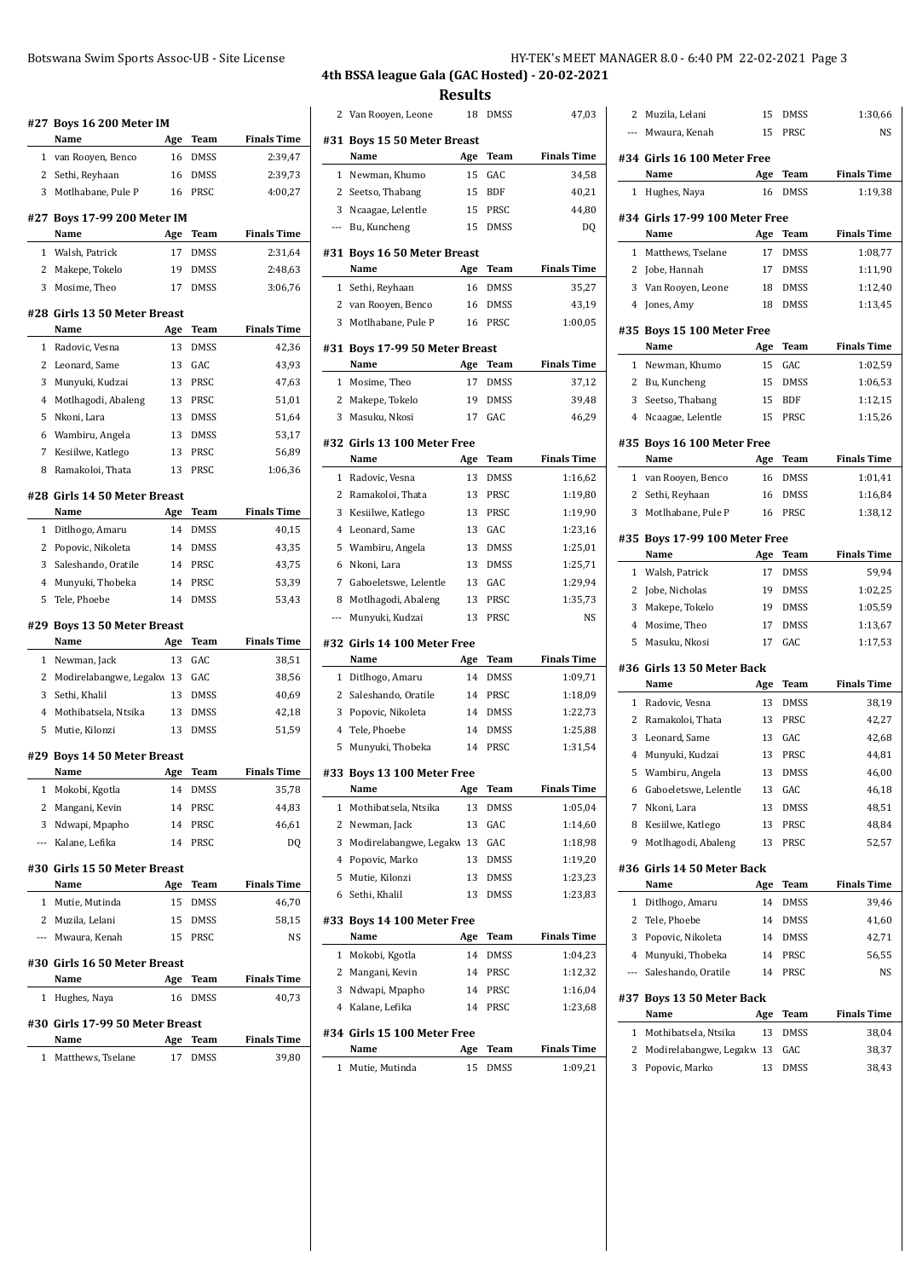|                | #27 Boys 16 200 Meter IM             |           |              |                             |
|----------------|--------------------------------------|-----------|--------------|-----------------------------|
|                | Name                                 | Age       | Team         | <b>Finals Time</b>          |
| 1              | van Rooyen, Benco                    | 16        | DMSS         | 2:39,47                     |
| 2              | Sethi, Reyhaan                       | 16        | DMSS         | 2:39,73                     |
| 3              | Motlhabane, Pule P                   | 16        | PRSC         | 4:00,27                     |
|                | #27 Boys 17-99 200 Meter IM          |           |              |                             |
|                | Name                                 | Age       | Team         | <b>Finals Time</b>          |
| $\mathbf{1}$   | Walsh, Patrick                       | 17        | <b>DMSS</b>  | 2:31,64                     |
| 2<br>3         | Makepe, Tokelo                       | 19<br>17  | DMSS         | 2:48,63                     |
|                | Mosime, Theo                         |           | DMSS         | 3:06,76                     |
|                | #28 Girls 13 50 Meter Breast         |           |              |                             |
|                | Name                                 | Age       | Team         | <b>Finals Time</b>          |
| 1              | Radovic, Vesna                       | 13        | DMSS         | 42,36                       |
| 2              | Leonard, Same                        | 13        | GAC          | 43,93                       |
| 3              | Munyuki, Kudzai                      | 13        | PRSC         | 47,63                       |
| $\overline{4}$ | Motlhagodi, Abaleng                  | 13        | PRSC         | 51,01                       |
| 5              | Nkoni, Lara                          | 13        | DMSS         | 51,64                       |
| 6              | Wambiru, Angela                      | 13        | DMSS         | 53,17                       |
| 7              | Kesiilwe, Katlego                    | 13        | PRSC         | 56,89                       |
| 8              | Ramakoloi, Thata                     | 13        | PRSC         | 1:06,36                     |
|                | #28 Girls 14 50 Meter Breast<br>Name | Age       | Team         | <b>Finals Time</b>          |
| 1              | Ditlhogo, Amaru                      | 14        | DMSS         | 40,15                       |
| 2              | Popovic, Nikoleta                    | 14        | DMSS         | 43,35                       |
| 3              | Saleshando, Oratile                  | 14        | PRSC         | 43,75                       |
| 4              | Munyuki, Thobeka                     | 14        | PRSC         | 53,39                       |
| 5              | Tele, Phoebe                         | 14        | DMSS         | 53,43                       |
|                | #29 Boys 13 50 Meter Breast          |           |              |                             |
|                | Name                                 | Age       | Team         | <b>Finals Time</b>          |
| 1              | Newman, Jack                         | 13        | GAC          | 38,51                       |
| 2              | Modirelabangwe, Legakw 13            |           | GAC          | 38,56                       |
| 3              | Sethi, Khalil                        | 13        | <b>DMSS</b>  | 40,69                       |
| 4              | Mothibatsela, Ntsika                 | 13        | DMSS         | 42,18                       |
| 5              | Mutie, Kilonzi                       | 13        | <b>DMSS</b>  | 51,59                       |
|                | #29 Boys 14 50 Meter Breast          |           |              |                             |
|                | Name                                 | Age       | Team         | <b>Finals Time</b>          |
| 1              | Mokobi, Kgotla                       | 14        | DMSS         | 35,78                       |
| 2              | Mangani, Kevin                       | 14        | PRSC         | 44,83                       |
| 3              | Ndwapi, Mpapho                       | 14        | PRSC         | 46,61                       |
| ---            | Kalane, Lefika                       | 14        | PRSC         | DQ                          |
|                | #30 Girls 15 50 Meter Breast<br>Name | Age       | Team         | <b>Finals Time</b>          |
| 1              | Mutie, Mutinda                       | 15        | DMSS         | 46,70                       |
| 2              | Muzila, Lelani                       | 15        | DMSS         | 58,15                       |
| ---            | Mwaura, Kenah                        | 15        | PRSC         | NS                          |
|                | #30 Girls 16 50 Meter Breast         |           |              |                             |
|                | Name                                 | Age       | Team         | <b>Finals Time</b>          |
| 1              | Hughes, Naya                         | 16        | DMSS         | 40,73                       |
|                | #30 Girls 17-99 50 Meter Breast      |           |              |                             |
|                |                                      |           |              |                             |
| 1              | Name<br>Matthews, Tselane            | Age<br>17 | Team<br>DMSS | <b>Finals Time</b><br>39,80 |

# **4th BSSA league Gala (GAC Hosted) - 20-02-2021 Results**

| 2            | Van Rooyen, Leone                   | 18  | DMSS        | 47,03              |
|--------------|-------------------------------------|-----|-------------|--------------------|
|              | #31 Boys 15 50 Meter Breast<br>Name | Age | <b>Team</b> | <b>Finals Time</b> |
| 1            | Newman, Khumo                       | 15  | GAC         | 34,58              |
| 2            | Seetso, Thabang                     | 15  | <b>BDF</b>  | 40,21              |
| 3            | Ncaagae, Lelentle                   | 15  | PRSC        | 44,80              |
| ---          | Bu, Kuncheng                        | 15  | <b>DMSS</b> | DQ                 |
|              |                                     |     |             |                    |
|              | #31 Boys 16 50 Meter Breast<br>Name | Age | Team        | <b>Finals Time</b> |
| 1            | Sethi, Reyhaan                      | 16  | <b>DMSS</b> | 35,27              |
| 2            | van Rooyen, Benco                   | 16  | DMSS        | 43,19              |
| 3            | Motlhabane, Pule P                  | 16  | PRSC        | 1:00,05            |
| #31          | <b>Boys 17-99 50 Meter Breast</b>   |     |             |                    |
|              | Name                                | Age | Team        | <b>Finals Time</b> |
| $\mathbf{1}$ | Mosime, Theo                        | 17  | DMSS        | 37,12              |
| 2            | Makepe, Tokelo                      | 19  | DMSS        | 39,48              |
| 3            | Masuku, Nkosi                       | 17  | GAC         | 46,29              |
|              | #32  Girls 13 100 Meter Free        |     |             |                    |
|              | Name                                | Age | <b>Team</b> | <b>Finals Time</b> |
| 1            | Radovic, Vesna                      | 13  | <b>DMSS</b> | 1:16,62            |
| 2            | Ramakoloi, Thata                    | 13  | PRSC        | 1:19,80            |
| 3            | Kesiilwe, Katlego                   | 13  | PRSC        | 1:19,90            |
| 4            | Leonard, Same                       | 13  | GAC         | 1:23,16            |
| 5            | Wambiru, Angela                     | 13  | DMSS        | 1:25,01            |
| 6            | Nkoni, Lara                         | 13  | <b>DMSS</b> | 1:25,71            |
| 7            | Gaboeletswe, Lelentle               | 13  | GAC         | 1:29,94            |
| 8            | Motlhagodi, Abaleng                 | 13  | PRSC        | 1:35,73            |
| ---          | Munyuki, Kudzai                     | 13  | PRSC        | NS                 |
|              | #32 Girls 14 100 Meter Free<br>Name | Age | Team        | <b>Finals Time</b> |
| 1            | Ditlhogo, Amaru                     | 14  | DMSS        | 1:09,71            |
| 2            | Saleshando, Oratile                 | 14  | PRSC        | 1:18,09            |
| 3            | Popovic, Nikoleta                   | 14  | DMSS        | 1:22,73            |
| 4            | Tele, Phoebe                        | 14  | DMSS        | 1:25,88            |
| 5            | Munyuki, Thobeka                    | 14  | <b>PRSC</b> | 1:31,54            |
|              |                                     |     |             |                    |
|              | #33  Boys 13 100 Meter Free         |     |             |                    |
|              | name                                | Age | Team        | Finals Time        |
| 1            | Mothibatsela, Ntsika                | 13  | DMSS        | 1:05,04            |
| 2            | Newman, Jack                        | 13  | GAC         | 1:14,60            |
| 3            | Modirelabangwe, Legakw 13           |     | GAC         | 1:18,98            |
| 4            | Popovic, Marko                      | 13  | DMSS        | 1:19,20            |
| 5            | Mutie, Kilonzi                      | 13  | DMSS        | 1:23,23            |
| 6            | Sethi, Khalil                       | 13  | DMSS        | 1:23,83            |
|              | #33 Boys 14 100 Meter Free<br>Name  | Age | Team        | <b>Finals Time</b> |
| 1            | Mokobi, Kgotla                      | 14  | DMSS        | 1:04,23            |
| 2            | Mangani, Kevin                      | 14  | PRSC        | 1:12,32            |
| 3            | Ndwapi, Mpapho                      | 14  | PRSC        | 1:16,04            |
| 4            | Kalane, Lefika                      | 14  | PRSC        | 1:23,68            |
|              | #34 Girls 15 100 Meter Free         |     |             |                    |
|              | Name                                | Age | Team        | <b>Finals Time</b> |
|              | 1 Mutie, Mutinda                    | 15  | DMSS        | 1:09,21            |

| 2                        | Muzila, Lelani                       | 15        | DMSS               | 1:30,66            |
|--------------------------|--------------------------------------|-----------|--------------------|--------------------|
| $\overline{\phantom{a}}$ | Mwaura, Kenah                        | 15        | PRSC               | <b>NS</b>          |
|                          | #34 Girls 16 100 Meter Free          |           |                    |                    |
|                          | Name                                 | Age       | Team               | <b>Finals Time</b> |
| 1                        | Hughes, Naya                         | 16        | DMSS               | 1:19,38            |
|                          | #34 Girls 17-99 100 Meter Free       |           |                    |                    |
|                          | Name                                 | Age       | Team               | <b>Finals Time</b> |
| 1                        | Matthews, Tselane                    | 17        | DMSS               | 1:08,77            |
|                          | 2 Jobe, Hannah                       | 17        | DMSS               | 1:11,90            |
| 3                        | Van Rooyen, Leone                    | 18        | DMSS               | 1:12,40            |
| $\overline{4}$           | Jones, Amy                           | 18        | DMSS               | 1:13,45            |
|                          | #35 Boys 15 100 Meter Free<br>Name   |           |                    | <b>Finals Time</b> |
|                          |                                      | Age       | Team               |                    |
| $\mathbf{1}$             | Newman, Khumo                        | 15        | GAC                | 1:02,59            |
| 2                        | Bu, Kuncheng                         | 15        | DMSS               | 1:06,53            |
| 3<br>4                   | Seetso, Thabang<br>Ncaagae, Lelentle | 15<br>15  | <b>BDF</b><br>PRSC | 1:12,15<br>1:15,26 |
|                          |                                      |           |                    |                    |
|                          | #35 Boys 16 100 Meter Free           |           |                    |                    |
|                          | Name                                 | Age       | Team               | <b>Finals Time</b> |
|                          | 1 van Rooyen, Benco                  | 16        | <b>DMSS</b>        | 1:01,41            |
| 2                        | Sethi, Reyhaan                       | 16        | <b>DMSS</b>        | 1:16,84            |
| 3                        | Motlhabane, Pule P                   | 16        | PRSC               | 1:38,12            |
|                          | #35 Boys 17-99 100 Meter Free        |           |                    |                    |
|                          | Name                                 | Age       | Team               | <b>Finals Time</b> |
|                          | Walsh, Patrick                       | 17        | DMSS               | 59,94              |
| 1                        |                                      |           |                    |                    |
| 2                        | Jobe, Nicholas                       | 19        | <b>DMSS</b>        | 1:02,25            |
| 3                        | Makepe, Tokelo                       | 19        | <b>DMSS</b>        | 1:05,59            |
| 4                        | Mosime, Theo                         | 17        | <b>DMSS</b>        | 1:13,67            |
| 5                        | Masuku, Nkosi                        | 17        | GAC                | 1:17,53            |
|                          | #36 Girls 13 50 Meter Back<br>Name   |           |                    |                    |
| $\mathbf{1}$             |                                      | Age       | Team               | <b>Finals Time</b> |
| 2                        | Radovic, Vesna<br>Ramakoloi, Thata   | 13<br>13  | DMSS<br>PRSC       | 38,19              |
| 3                        | Leonard, Same                        | 13        | GAC                | 42,27<br>42,68     |
| 4                        | Munyuki, Kudzai                      | 13        | PRSC               | 44,81              |
| 5                        | Wambiru, Angela                      | 13        | <b>DMSS</b>        | 46,00              |
|                          | 6 Gaboeletswe, Lelentle              |           | 13 GAC             | 46,18              |
| 7                        | Nkoni, Lara                          | 13        | DMSS               | 48,51              |
| 8                        | Kesiilwe, Katlego                    | 13        | PRSC               | 48,84              |
| 9                        | Motlhagodi, Abaleng                  | 13        | PRSC               | 52,57              |
|                          | #36 Girls 14 50 Meter Back           |           |                    |                    |
|                          | Name                                 | Age       | Team               | <b>Finals Time</b> |
| 1                        | Ditlhogo, Amaru                      | 14        | DMSS               | 39,46              |
| 2                        | Tele, Phoebe                         | 14        | DMSS               | 41,60              |
| 3                        | Popovic, Nikoleta                    | 14        | DMSS               | 42,71              |
|                          | 4 Munyuki, Thobeka                   | 14        | PRSC               | 56,55              |
| ---                      | Saleshando, Oratile                  | 14        | PRSC               | NS                 |
|                          | #37 Boys 13 50 Meter Back<br>Name    |           | Team               | <b>Finals Time</b> |
| 1                        | Mothibatsela, Ntsika                 | Age<br>13 | DMSS               |                    |
| $\mathbf{2}$             | Modirelabangwe, Legakw 13            |           | GAC                | 38,04<br>38,37     |